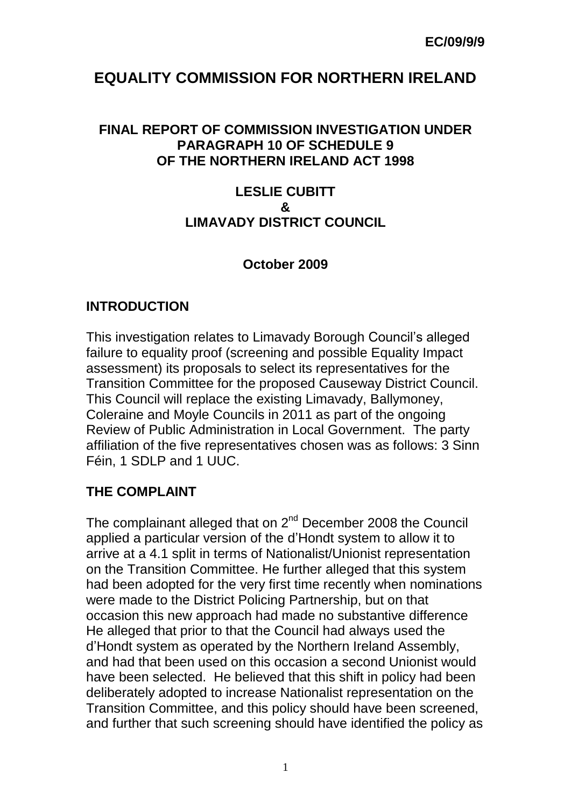# **EQUALITY COMMISSION FOR NORTHERN IRELAND**

#### **FINAL REPORT OF COMMISSION INVESTIGATION UNDER PARAGRAPH 10 OF SCHEDULE 9 OF THE NORTHERN IRELAND ACT 1998**

#### **LESLIE CUBITT & LIMAVADY DISTRICT COUNCIL**

## **October 2009**

#### **INTRODUCTION**

This investigation relates to Limavady Borough Council's alleged failure to equality proof (screening and possible Equality Impact assessment) its proposals to select its representatives for the Transition Committee for the proposed Causeway District Council. This Council will replace the existing Limavady, Ballymoney, Coleraine and Moyle Councils in 2011 as part of the ongoing Review of Public Administration in Local Government. The party affiliation of the five representatives chosen was as follows: 3 Sinn Féin, 1 SDLP and 1 UUC.

## **THE COMPLAINT**

The complainant alleged that on  $2^{nd}$  December 2008 the Council applied a particular version of the d'Hondt system to allow it to arrive at a 4.1 split in terms of Nationalist/Unionist representation on the Transition Committee. He further alleged that this system had been adopted for the very first time recently when nominations were made to the District Policing Partnership, but on that occasion this new approach had made no substantive difference He alleged that prior to that the Council had always used the d'Hondt system as operated by the Northern Ireland Assembly, and had that been used on this occasion a second Unionist would have been selected. He believed that this shift in policy had been deliberately adopted to increase Nationalist representation on the Transition Committee, and this policy should have been screened, and further that such screening should have identified the policy as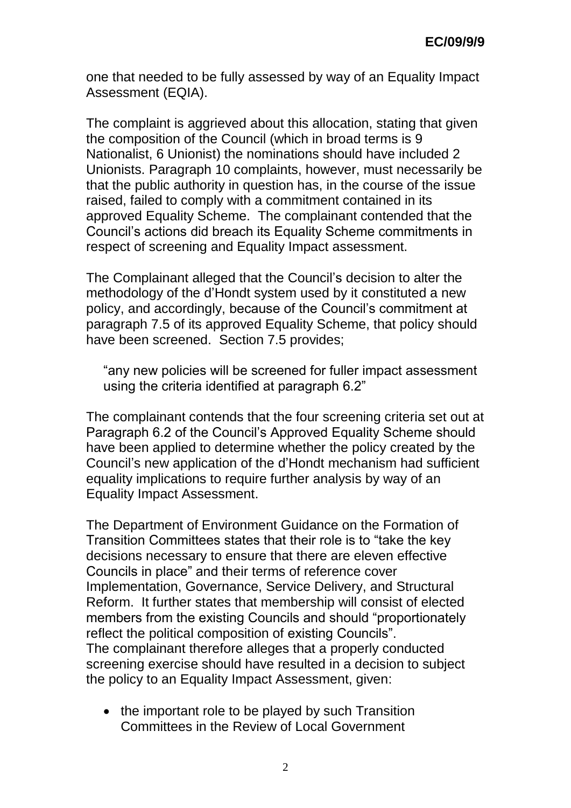one that needed to be fully assessed by way of an Equality Impact Assessment (EQIA).

The complaint is aggrieved about this allocation, stating that given the composition of the Council (which in broad terms is 9 Nationalist, 6 Unionist) the nominations should have included 2 Unionists. Paragraph 10 complaints, however, must necessarily be that the public authority in question has, in the course of the issue raised, failed to comply with a commitment contained in its approved Equality Scheme. The complainant contended that the Council's actions did breach its Equality Scheme commitments in respect of screening and Equality Impact assessment.

The Complainant alleged that the Council's decision to alter the methodology of the d'Hondt system used by it constituted a new policy, and accordingly, because of the Council's commitment at paragraph 7.5 of its approved Equality Scheme, that policy should have been screened. Section 7.5 provides;

"any new policies will be screened for fuller impact assessment using the criteria identified at paragraph 6.2"

The complainant contends that the four screening criteria set out at Paragraph 6.2 of the Council's Approved Equality Scheme should have been applied to determine whether the policy created by the Council's new application of the d'Hondt mechanism had sufficient equality implications to require further analysis by way of an Equality Impact Assessment.

The Department of Environment Guidance on the Formation of Transition Committees states that their role is to "take the key decisions necessary to ensure that there are eleven effective Councils in place" and their terms of reference cover Implementation, Governance, Service Delivery, and Structural Reform. It further states that membership will consist of elected members from the existing Councils and should "proportionately reflect the political composition of existing Councils". The complainant therefore alleges that a properly conducted screening exercise should have resulted in a decision to subject the policy to an Equality Impact Assessment, given:

• the important role to be played by such Transition Committees in the Review of Local Government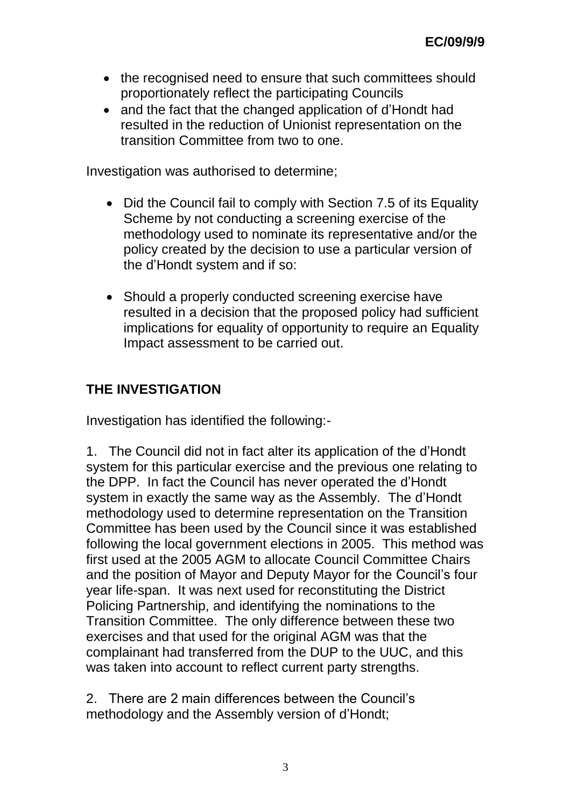- the recognised need to ensure that such committees should proportionately reflect the participating Councils
- and the fact that the changed application of d'Hondt had resulted in the reduction of Unionist representation on the transition Committee from two to one.

Investigation was authorised to determine;

- Did the Council fail to comply with Section 7.5 of its Equality Scheme by not conducting a screening exercise of the methodology used to nominate its representative and/or the policy created by the decision to use a particular version of the d'Hondt system and if so:
- Should a properly conducted screening exercise have resulted in a decision that the proposed policy had sufficient implications for equality of opportunity to require an Equality Impact assessment to be carried out.

# **THE INVESTIGATION**

Investigation has identified the following:-

1. The Council did not in fact alter its application of the d'Hondt system for this particular exercise and the previous one relating to the DPP. In fact the Council has never operated the d'Hondt system in exactly the same way as the Assembly. The d'Hondt methodology used to determine representation on the Transition Committee has been used by the Council since it was established following the local government elections in 2005. This method was first used at the 2005 AGM to allocate Council Committee Chairs and the position of Mayor and Deputy Mayor for the Council's four year life-span. It was next used for reconstituting the District Policing Partnership, and identifying the nominations to the Transition Committee. The only difference between these two exercises and that used for the original AGM was that the complainant had transferred from the DUP to the UUC, and this was taken into account to reflect current party strengths.

2. There are 2 main differences between the Council's methodology and the Assembly version of d'Hondt;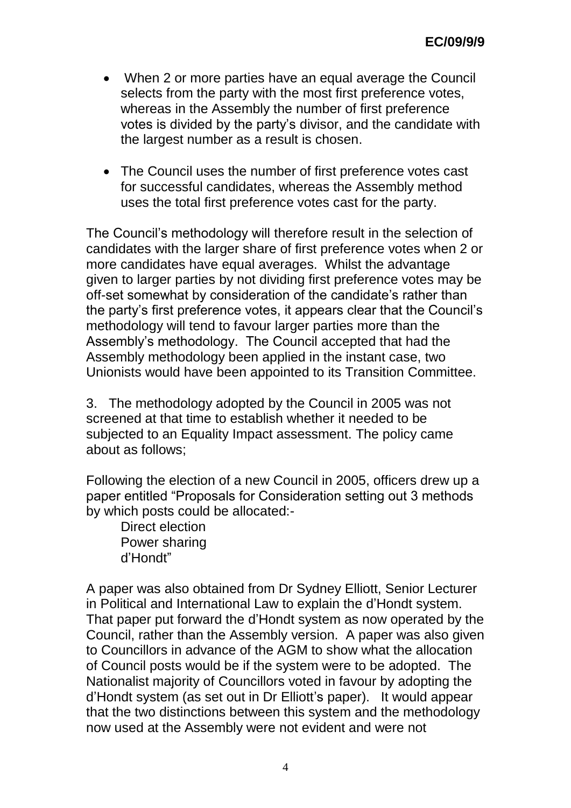- When 2 or more parties have an equal average the Council selects from the party with the most first preference votes, whereas in the Assembly the number of first preference votes is divided by the party's divisor, and the candidate with the largest number as a result is chosen.
- The Council uses the number of first preference votes cast for successful candidates, whereas the Assembly method uses the total first preference votes cast for the party.

The Council's methodology will therefore result in the selection of candidates with the larger share of first preference votes when 2 or more candidates have equal averages. Whilst the advantage given to larger parties by not dividing first preference votes may be off-set somewhat by consideration of the candidate's rather than the party's first preference votes, it appears clear that the Council's methodology will tend to favour larger parties more than the Assembly's methodology. The Council accepted that had the Assembly methodology been applied in the instant case, two Unionists would have been appointed to its Transition Committee.

3. The methodology adopted by the Council in 2005 was not screened at that time to establish whether it needed to be subjected to an Equality Impact assessment. The policy came about as follows;

Following the election of a new Council in 2005, officers drew up a paper entitled "Proposals for Consideration setting out 3 methods by which posts could be allocated:-

Direct election Power sharing d'Hondt"

A paper was also obtained from Dr Sydney Elliott, Senior Lecturer in Political and International Law to explain the d'Hondt system. That paper put forward the d'Hondt system as now operated by the Council, rather than the Assembly version. A paper was also given to Councillors in advance of the AGM to show what the allocation of Council posts would be if the system were to be adopted. The Nationalist majority of Councillors voted in favour by adopting the d'Hondt system (as set out in Dr Elliott's paper). It would appear that the two distinctions between this system and the methodology now used at the Assembly were not evident and were not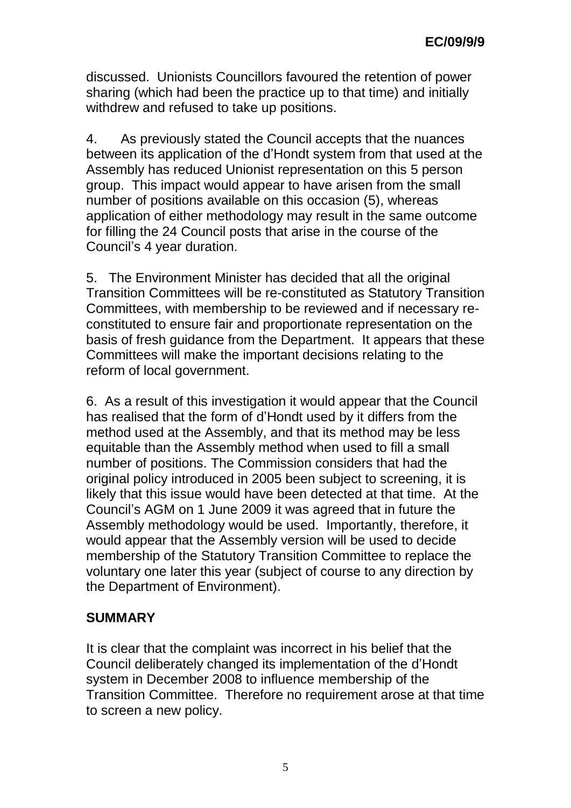discussed. Unionists Councillors favoured the retention of power sharing (which had been the practice up to that time) and initially withdrew and refused to take up positions.

4. As previously stated the Council accepts that the nuances between its application of the d'Hondt system from that used at the Assembly has reduced Unionist representation on this 5 person group. This impact would appear to have arisen from the small number of positions available on this occasion (5), whereas application of either methodology may result in the same outcome for filling the 24 Council posts that arise in the course of the Council's 4 year duration.

5. The Environment Minister has decided that all the original Transition Committees will be re-constituted as Statutory Transition Committees, with membership to be reviewed and if necessary reconstituted to ensure fair and proportionate representation on the basis of fresh guidance from the Department. It appears that these Committees will make the important decisions relating to the reform of local government.

6. As a result of this investigation it would appear that the Council has realised that the form of d'Hondt used by it differs from the method used at the Assembly, and that its method may be less equitable than the Assembly method when used to fill a small number of positions. The Commission considers that had the original policy introduced in 2005 been subject to screening, it is likely that this issue would have been detected at that time. At the Council's AGM on 1 June 2009 it was agreed that in future the Assembly methodology would be used. Importantly, therefore, it would appear that the Assembly version will be used to decide membership of the Statutory Transition Committee to replace the voluntary one later this year (subject of course to any direction by the Department of Environment).

## **SUMMARY**

It is clear that the complaint was incorrect in his belief that the Council deliberately changed its implementation of the d'Hondt system in December 2008 to influence membership of the Transition Committee. Therefore no requirement arose at that time to screen a new policy.